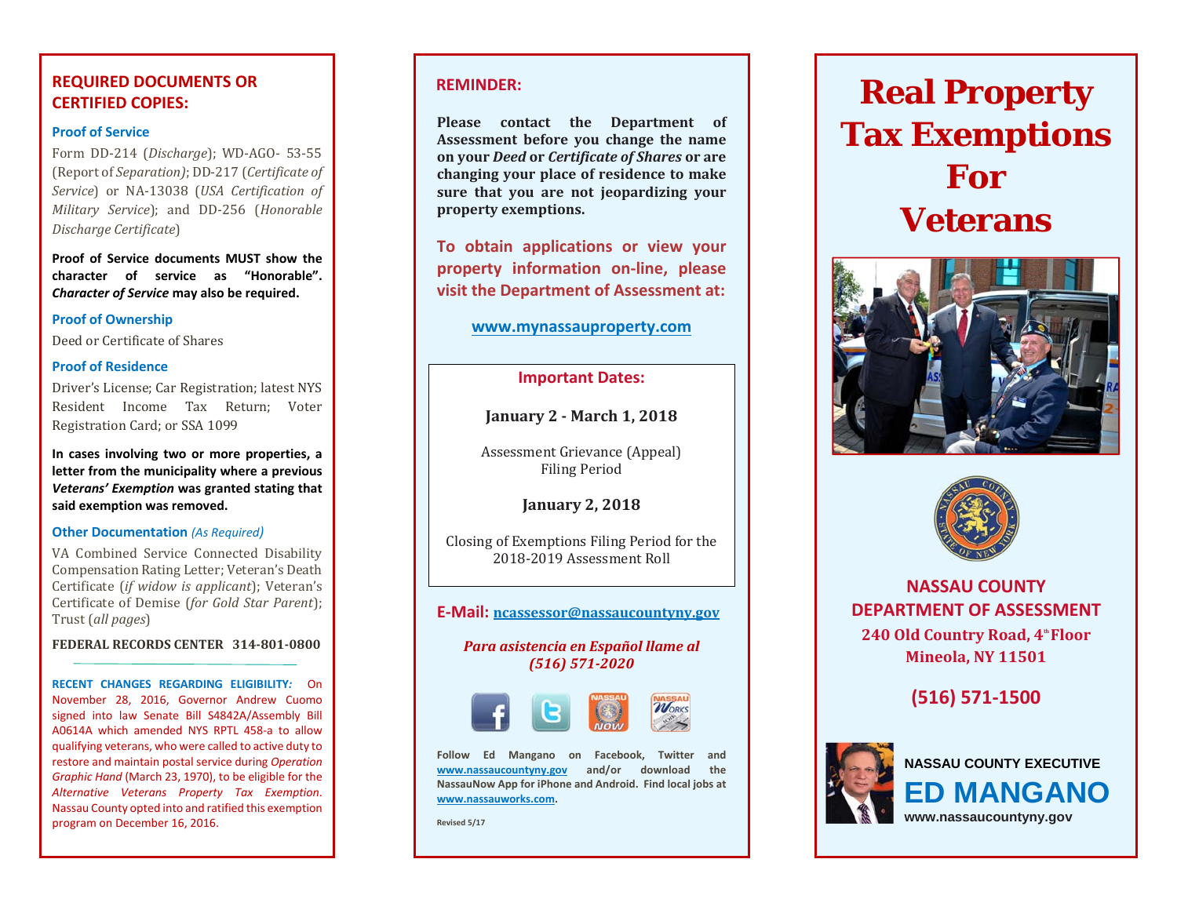## **REQUIRED DOCUMENTS OR CERTIFIED COPIES:**

## **Proof of Service**

Form DD-214 (*Discharge*); WD-AGO- 53-55 (Report of *Separation)*; DD‐217 (*Certificate of Service*) or NA‐13038 (*USA Certification of Military Service*); and DD‐256 (*Honorable Discharge Certificate*) 

**Proof of Service documents MUST show the character of service as "Honorable".** *Character of Service* **may also be required.**

#### **Proof of Ownership**

Deed or Certificate of Shares

#### **Proof of Residence**

Driver's License; Car Registration; latest NYS Resident Income Tax Return: Voter Registration Card: or SSA 1099

**In cases involving two or more properties, <sup>a</sup> letter from the municipality where <sup>a</sup> previous** *Veterans' Exemption* **was granted stating that said exemption was removed.**

#### **Other Documentation** *(As Required)*

VA Combined Service Connected Disability Compensation Rating Letter; Veteran's Death Certificate (*if widow is applicant*); Veteran's Certificate of Demise (*for Gold Star Parent*); Trust (*all pages*) 

#### **FEDERAL RECORDS CENTER 314‐801‐0800**

**RECENT CHANGES REGARDING ELIGIBILITY***:* On November 28, 2016, Governor Andrew Cuomo signed into law Senate Bill S4842A/Assembly Bill A0614A which amended NYS RPTL 458‐<sup>a</sup> to allowqualifying veterans, who were called to active duty to restore and maintain postal service during *Operation Graphic Hand* (March 23, 1970), to be eligible for the *Alternative Veterans Property Tax Exemption*. Nassau County opted into and ratified this exemption program on December 16, 2016.

## **REMINDER:**

**Please contact the Department of Assessment before you change the name on your** *Deed* **or** *Certificate of Shares* **or are changing your place of residence to make sure that you are not jeopardizing your property exemptions.**

**To obtain applications or view your property information on‐line, please visit the Department of Assessment at:**

## **www.mynassauproperty.com**

## **Important Dates:**

**January 2 ‐ March 1, 2018**

Assessment Grievance (Appeal) Filing Period 

**January 2, 2018**

Closing of Exemptions Filing Period for the 2018-2019 Assessment Roll

## **E‐Mail: ncassessor@nassaucountyny.gov**

## *Para asistencia en Español llame al (516) 571‐2020*



**Follow Ed Mangano on Facebook, Twitter and www.nassaucountyny.gov and/or download the NassauNow App for iPhone and Android. Find local jobs at www.nassauworks.com.**

**Revised 5/17**

# **Real Property Tax Exemptions For Veterans**





**NASSAU COUNTY DEPARTMENT OF ASSESSMENT 240 Old Country Road, 4th FloorMineola, NY 11501**

**(516) 571‐1500**